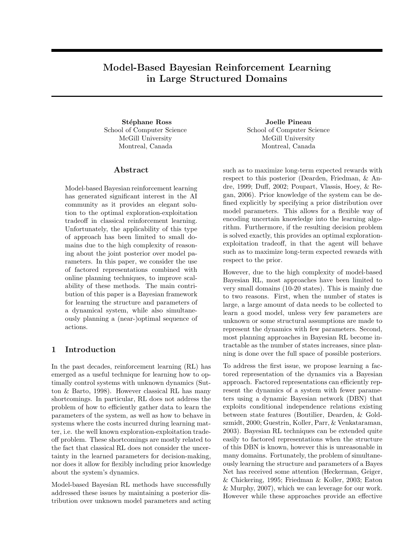# Model-Based Bayesian Reinforcement Learning in Large Structured Domains

Stéphane Ross School of Computer Science McGill University Montreal, Canada

# Abstract

Model-based Bayesian reinforcement learning has generated significant interest in the AI community as it provides an elegant solution to the optimal exploration-exploitation tradeoff in classical reinforcement learning. Unfortunately, the applicability of this type of approach has been limited to small domains due to the high complexity of reasoning about the joint posterior over model parameters. In this paper, we consider the use of factored representations combined with online planning techniques, to improve scalability of these methods. The main contribution of this paper is a Bayesian framework for learning the structure and parameters of a dynamical system, while also simultaneously planning a (near-)optimal sequence of actions.

# 1 Introduction

In the past decades, reinforcement learning (RL) has emerged as a useful technique for learning how to optimally control systems with unknown dynamics (Sutton & Barto, 1998). However classical RL has many shortcomings. In particular, RL does not address the problem of how to efficiently gather data to learn the parameters of the system, as well as how to behave in systems where the costs incurred during learning matter, i.e. the well known exploration-exploitation tradeoff problem. These shortcomings are mostly related to the fact that classical RL does not consider the uncertainty in the learned parameters for decision-making, nor does it allow for flexibly including prior knowledge about the system's dynamics.

Model-based Bayesian RL methods have successfully addressed these issues by maintaining a posterior distribution over unknown model parameters and acting

Joelle Pineau School of Computer Science McGill University Montreal, Canada

such as to maximize long-term expected rewards with respect to this posterior (Dearden, Friedman, & Andre, 1999; Duff, 2002; Poupart, Vlassis, Hoey, & Regan, 2006). Prior knowledge of the system can be defined explicitly by specifying a prior distribution over model parameters. This allows for a flexible way of encoding uncertain knowledge into the learning algorithm. Furthermore, if the resulting decision problem is solved exactly, this provides an optimal explorationexploitation tradeoff, in that the agent will behave such as to maximize long-term expected rewards with respect to the prior.

However, due to the high complexity of model-based Bayesian RL, most approaches have been limited to very small domains (10-20 states). This is mainly due to two reasons. First, when the number of states is large, a large amount of data needs to be collected to learn a good model, unless very few parameters are unknown or some structural assumptions are made to represent the dynamics with few parameters. Second, most planning approaches in Bayesian RL become intractable as the number of states increases, since planning is done over the full space of possible posteriors.

To address the first issue, we propose learning a factored representation of the dynamics via a Bayesian approach. Factored representations can efficiently represent the dynamics of a system with fewer parameters using a dynamic Bayesian network (DBN) that exploits conditional independence relations existing between state features (Boutilier, Dearden, & Goldszmidt, 2000; Guestrin, Koller, Parr, & Venkataraman, 2003). Bayesian RL techniques can be extended quite easily to factored representations when the structure of this DBN is known, however this is unreasonable in many domains. Fortunately, the problem of simultaneously learning the structure and parameters of a Bayes Net has received some attention (Heckerman, Geiger, & Chickering, 1995; Friedman & Koller, 2003; Eaton & Murphy, 2007), which we can leverage for our work. However while these approaches provide an effective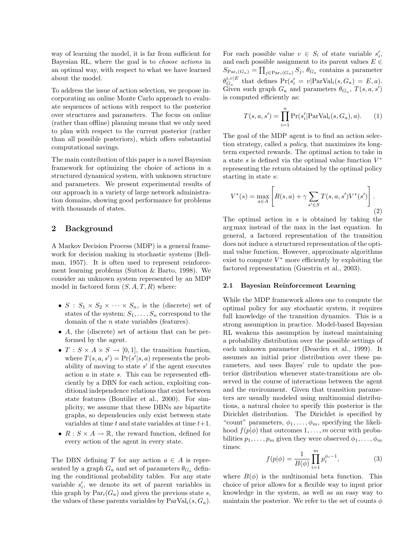way of learning the model, it is far from sufficient for Bayesian RL, where the goal is to choose actions in an optimal way, with respect to what we have learned about the model.

To address the issue of action selection, we propose incorporating an online Monte Carlo approach to evaluate sequences of actions with respect to the posterior over structures and parameters. The focus on online (rather than offline) planning means that we only need to plan with respect to the current posterior (rather than all possible posteriors), which offers substantial computational savings.

The main contribution of this paper is a novel Bayesian framework for optimizing the choice of actions in a structured dynamical system, with unknown structure and parameters. We present experimental results of our approach in a variety of large network administration domains, showing good performance for problems with thousands of states.

# 2 Background

A Markov Decision Process (MDP) is a general framework for decision making in stochastic systems (Bellman, 1957). It is often used to represent reinforcement learning problems (Sutton & Barto, 1998). We consider an unknown system represented by an MDP model in factored form  $(S, A, T, R)$  where:

- $S : S_1 \times S_2 \times \cdots \times S_n$ , is the (discrete) set of states of the system;  $S_1, \ldots, S_n$  correspond to the domain of the n state variables (features).
- A, the (discrete) set of actions that can be performed by the agent.
- $T : S \times A \times S \rightarrow [0, 1]$ , the transition function, where  $T(s, a, s') = Pr(s' | s, a)$  represents the probability of moving to state  $s'$  if the agent executes action  $a$  in state  $s$ . This can be represented efficiently by a DBN for each action, exploiting conditional independence relations that exist between state features (Boutilier et al., 2000). For simplicity, we assume that these DBNs are bipartite graphs, so dependencies only exist between state variables at time t and state variables at time  $t+1$ .
- $R: S \times A \rightarrow \mathbb{R}$ , the reward function, defined for every action of the agent in every state.

The DBN defining T for any action  $a \in A$  is represented by a graph  $G_a$  and set of parameters  $\theta_{G_a}$  defining the conditional probability tables. For any state variable  $s_i'$ , we denote its set of parent variables in this graph by  $Par_i(G_a)$  and given the previous state s, the values of these parents variables by  $ParVal_i(s, G_a)$ .

For each possible value  $v \in S_i$  of state variable  $s'_i$ , and each possible assignment to its parent values  $E \in$  $S_{\text{Par}_i(G_a)} = \prod_{j \in \text{Par}_i(G_a)} S_j$ ,  $\theta_{G_a}$  contains a parameter  $\theta_{G_a}^{i,v|E}$  that defines  $Pr(s'_i = v | ParVal_i(s, G_a) = E, a)$ . Given such graph  $G_a$  and parameters  $\theta_{G_a}$ ,  $T(s, a, s')$ is computed efficiently as:

$$
T(s, a, s') = \prod_{i=1}^{n} \Pr(s'_i | \text{ParVal}_i(s, G_a), a). \tag{1}
$$

The goal of the MDP agent is to find an action selection strategy, called a policy, that maximizes its longterm expected rewards. The optimal action to take in a state s is defined via the optimal value function  $V^*$ representing the return obtained by the optimal policy starting in state s:

$$
V^*(s) = \max_{a \in A} \left[ R(s, a) + \gamma \sum_{s' \in S} T(s, a, s') V^*(s') \right].
$$
\n(2)

The optimal action in s is obtained by taking the arg max instead of the max in the last equation. In general, a factored representation of the transition does not induce a structured representation of the optimal value function. However, approximate algorithms exist to compute  $V^*$  more efficiently by exploiting the factored representation (Guestrin et al., 2003).

#### 2.1 Bayesian Reinforcement Learning

While the MDP framework allows one to compute the optimal policy for any stochastic system, it requires full knowledge of the transition dynamics. This is a strong assumption in practice. Model-based Bayesian RL weakens this assumption by instead maintaining a probability distribution over the possible settings of each unknown parameter (Dearden et al., 1999). It assumes an initial prior distribution over these parameters, and uses Bayes' rule to update the posterior distribution whenever state-transitions are observed in the course of interactions between the agent and the environment. Given that transition parameters are usually modeled using multinomial distributions, a natural choice to specify this posterior is the Dirichlet distribution. The Dirichlet is specified by "count" parameters,  $\phi_1, \ldots, \phi_m$ , specifying the likelihood  $f(p|\phi)$  that outcomes  $1, \ldots, m$  occur with probabilities  $p_1, \ldots, p_m$  given they were observed  $\phi_1, \ldots, \phi_m$ times:

$$
f(p|\phi) = \frac{1}{B(\phi)} \prod_{i=1}^{m} p_i^{\phi_i - 1},
$$
 (3)

where  $B(\phi)$  is the multinomial beta function. This choice of prior allows for a flexible way to input prior knowledge in the system, as well as an easy way to maintain the posterior. We refer to the set of counts  $\phi$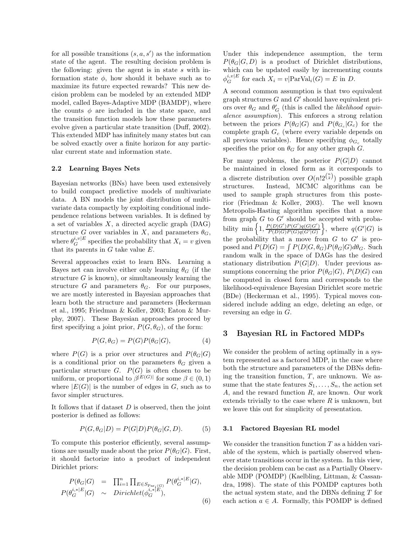for all possible transitions  $(s, a, s')$  as the information state of the agent. The resulting decision problem is the following: given the agent is in state s with information state  $\phi$ , how should it behave such as to maximize its future expected rewards? This new decision problem can be modeled by an extended MDP model, called Bayes-Adaptive MDP (BAMDP), where the counts  $\phi$  are included in the state space, and the transition function models how these parameters evolve given a particular state transition (Duff, 2002). This extended MDP has infinitely many states but can be solved exactly over a finite horizon for any particular current state and information state.

### 2.2 Learning Bayes Nets

Bayesian networks (BNs) have been used extensively to build compact predictive models of multivariate data. A BN models the joint distribution of multivariate data compactly by exploiting conditional independence relations between variables. It is defined by a set of variables  $X$ , a directed acyclic graph  $(DAG)$ structure G over variables in X, and parameters  $\theta_G$ , where  $\theta_G^{i,v|E}$  specifies the probability that  $X_i = v$  given that its parents in  $G$  take value  $E$ .

Several approaches exist to learn BNs. Learning a Bayes net can involve either only learning  $\theta_G$  (if the structure  $G$  is known), or simultaneously learning the structure G and parameters  $\theta_G$ . For our purposes, we are mostly interested in Bayesian approaches that learn both the structure and parameters (Heckerman et al., 1995; Friedman & Koller, 2003; Eaton & Murphy, 2007). These Bayesian approaches proceed by first specifying a joint prior,  $P(G, \theta_G)$ , of the form:

$$
P(G, \theta_G) = P(G)P(\theta_G|G),\tag{4}
$$

where  $P(G)$  is a prior over structures and  $P(\theta_G|G)$ is a conditional prior on the parameters  $\theta_G$  given a particular structure  $G.$   $P(G)$  is often chosen to be uniform, or proportional to  $\beta^{|E(G)|}$  for some  $\beta \in (0,1)$ where  $|E(G)|$  is the number of edges in G, such as to favor simpler structures.

It follows that if dataset  $D$  is observed, then the joint posterior is defined as follows:

$$
P(G, \theta_G|D) = P(G|D)P(\theta_G|G, D). \tag{5}
$$

To compute this posterior efficiently, several assumptions are usually made about the prior  $P(\theta_G|G)$ . First, it should factorize into a product of independent Dirichlet priors:

$$
P(\theta_G|G) = \prod_{i=1}^n \prod_{E \in S_{\text{Par}_{i}(G)}} P(\theta_G^{i,*|E}|G),
$$
  
\n
$$
P(\theta_G^{i,*|E}|G) \sim Dirichlet(\phi_G^{i,*|E}),
$$
  
\n(6)

Under this independence assumption, the term  $P(\theta_G|G, D)$  is a product of Dirichlet distributions, which can be updated easily by incrementing counts  $\phi_G^{i,v|E}$  for each  $X_i = v|\text{ParVal}_i(G) = E$  in D.

A second common assumption is that two equivalent graph structures  $G$  and  $G'$  should have equivalent priors over  $\theta_G$  and  $\theta'_G$  (this is called the *likelihood equiv*alence assumption). This enforces a strong relation between the priors  $P(\theta_G|G)$  and  $P(\theta_{G_c}|G_c)$  for the complete graph  $G_c$  (where every variable depends on all previous variables). Hence specifying  $\phi_{G_c}$  totally specifies the prior on  $\theta_G$  for any other graph G.

For many problems, the posterior  $P(G|D)$  cannot be maintained in closed form as it corresponds to a discrete distribution over  $O(n!2^{\binom{n}{2}})$  possible graph structures. Instead, MCMC algorithms can be used to sample graph structures from this posterior (Friedman & Koller, 2003). The well known Metropolis-Hasting algorithm specifies that a move from graph  $G$  to  $G'$  should be accepted with probability min  $\left\{1, \frac{P(D|G')P(G')q(G|G')}{P(D|G)P(G)q(G'|G)}\right\}$ , where  $q(G'|G)$  is the probability that a move from  $G$  to  $G'$  is proposed and  $P(D|G) = \int P(D|G, \theta_G) P(\theta_G|G) d\theta_G$ . Such random walk in the space of DAGs has the desired stationary distribution  $P(G|D)$ . Under previous assumptions concerning the prior  $P(\theta_G|G)$ ,  $P(D|G)$  can be computed in closed form and corresponds to the likelihood-equivalence Bayesian Dirichlet score metric (BDe) (Heckerman et al., 1995). Typical moves considered include adding an edge, deleting an edge, or reversing an edge in G.

### 3 Bayesian RL in Factored MDPs

We consider the problem of acting optimally in a system represented as a factored MDP, in the case where both the structure and parameters of the DBNs defining the transition function,  $T$ , are unknown. We assume that the state features  $S_1, \ldots, S_n$ , the action set A, and the reward function R, are known. Our work extends trivially to the case where  $R$  is unknown, but we leave this out for simplicity of presentation.

#### 3.1 Factored Bayesian RL model

We consider the transition function  $T$  as a hidden variable of the system, which is partially observed whenever state transitions occur in the system. In this view, the decision problem can be cast as a Partially Observable MDP (POMDP) (Kaelbling, Littman, & Cassandra, 1998). The state of this POMDP captures both the actual system state, and the DBNs defining T for each action  $a \in A$ . Formally, this POMDP is defined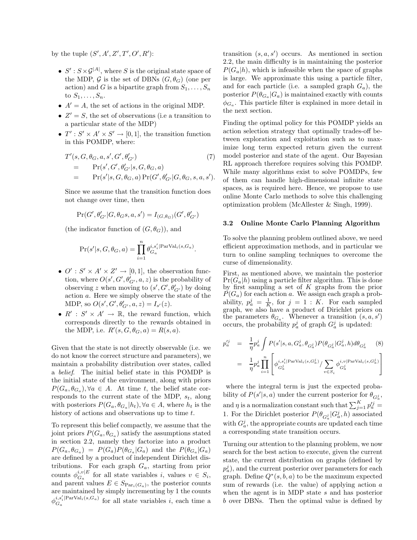by the tuple  $(S', A', Z', T', O', R')$ :

- $S' : S \times \mathcal{G}^{|A|}$ , where S is the original state space of the MDP, G is the set of DBNs  $(G, \theta_G)$  (one per action) and G is a bipartite graph from  $S_1, \ldots, S_n$ to  $S_1, \ldots, S_n$ .
- $A' = A$ , the set of actions in the original MDP.
- $Z' = S$ , the set of observations (i.e a transition to a particular state of the MDP)
- $T' : S' \times A' \times S' \rightarrow [0, 1]$ , the transition function in this POMDP, where:

$$
T'(s, G, \theta_G, a, s', G', \theta'_{G'})
$$
  
= Pr(s', G', \theta'\_{G'}|s, G, \theta\_G, a)  
= Pr(s'|s, G, \theta\_G, a) Pr(G', \theta'\_{G'}|G, \theta\_G, s, a, s').

Since we assume that the transition function does not change over time, then

$$
\Pr(G',\theta'_{G'}|G,\theta_Gs,a,s')=I_{(G,\theta_G)}(G',\theta'_{G'})
$$

(the indicator function of  $(G, \theta_G)$ ), and

$$
\Pr(s'|s, G, \theta_G, a) = \prod_{i=1}^n \theta_{G_a}^{i, s'_i | \text{ParVal}_i(s, G_a)}.
$$

- $O' : S' \times A' \times Z' \rightarrow [0,1]$ , the observation function, where  $O(s', G', \theta'_{G'}, a, z)$  is the probability of observing z when moving to  $(s', G', \theta'_{G'})$  by doing action a. Here we simply observe the state of the MDP, so  $O(s', G', \theta'_{G'}, a, z) = I_{s'}(z)$ .
- $R' : S' \times A' \rightarrow \mathbb{R}$ , the reward function, which corresponds directly to the rewards obtained in the MDP, i.e.  $R'(s, G, \theta_G, a) = R(s, a)$ .

Given that the state is not directly observable (i.e. we do not know the correct structure and parameters), we maintain a probability distribution over states, called a belief. The initial belief state in this POMDP is the initial state of the environment, along with priors  $P(G_a, \theta_{G_a})$ ,  $\forall a \in A$ . At time t, the belief state corresponds to the current state of the MDP,  $s_t$ , along with posteriors  $P(G_a, \theta_{G_a} | h_t), \forall a \in A$ , where  $h_t$  is the history of actions and observations up to time t.

To represent this belief compactly, we assume that the joint priors  $P(G_a, \theta_{G_a})$  satisfy the assumptions stated in section 2.2, namely they factorize into a product  $P(G_a, \theta_{G_a}) = P(G_a)P(\theta_{G_a}|G_a)$  and the  $P(\theta_{G_a}|G_a)$ are defined by a product of independent Dirichlet distributions. For each graph  $G_a$ , starting from prior counts  $\phi_{G_a}^{i,v|E}$  for all state variables i, values  $v \in S_i$ , and parent values  $E \in S_{\text{Par}_i(G_a)}$ , the posterior counts are maintained by simply incrementing by 1 the counts  $\phi_{G_a}^{i,s_i'|\text{ParVal}_i(s,G_a)}$  for all state variables *i*, each time a

transition  $(s, a, s')$  occurs. As mentioned in section 2.2, the main difficulty is in maintaining the posterior  $P(G_a|h)$ , which is infeasible when the space of graphs is large. We approximate this using a particle filter, and for each particle (i.e. a sampled graph  $G_a$ ), the posterior  $P(\theta_{G_a}|G_a)$  is maintained exactly with counts  $\phi_{G_a}$ . This particle filter is explained in more detail in the next section.

Finding the optimal policy for this POMDP yields an action selection strategy that optimally trades-off between exploration and exploitation such as to maximize long term expected return given the current model posterior and state of the agent. Our Bayesian RL approach therefore requires solving this POMDP. While many algorithms exist to solve POMDPs, few of them can handle high-dimensional infinite state spaces, as is required here. Hence, we propose to use online Monte Carlo methods to solve this challenging optimization problem (McAllester & Singh, 1999).

### 3.2 Online Monte Carlo Planning Algorithm

To solve the planning problem outlined above, we need efficient approximation methods, and in particular we turn to online sampling techniques to overcome the curse of dimensionality.

First, as mentioned above, we maintain the posterior  $Pr(G_a|h)$  using a particle filter algorithm. This is done by first sampling a set of K graphs from the prior  $\overline{P}(G_a)$  for each action a. We assign each graph a probability,  $p_a^j = \frac{1}{K}$ , for  $j = 1 : K$ . For each sampled graph, we also have a product of Dirichlet priors on the parameters  $\theta_{Ga}$ . Whenever a transition  $(s, a, s')$ occurs, the probability  $p_a^j$  of graph  $G_a^j$  is updated:

$$
p_a^{\prime j} = \frac{1}{\eta} p_a^j \int P(s'|s, a, G_a^j, \theta_{G_a^j}) P(\theta_{G_a^j} | G_a^j, h) d\theta_{G_a^j}
$$
(8)  

$$
= \frac{1}{\eta} p_a^j \prod_{i=1}^n \left[ \phi_{G_a^j}^{i, s_i' | \text{ParVal}_i(s, G_a^j)} / \sum_{v \in S_i} \phi_{G_a^j}^{i, v | \text{ParVal}_i(s, G_a^j)} \right]
$$

where the integral term is just the expected probability of  $P(s'|s, a)$  under the current posterior for  $\theta_{G_a^j}$ , and  $\eta$  is a normalization constant such that  $\sum_{j=1}^{K} p_a^{ij} =$ 1. For the Dirichlet posterior  $P(\theta_{G_a^j}|G_a^j, h)$  associated with  $G_a^j$ , the appropriate counts are updated each time a corresponding state transition occurs.

Turning our attention to the planning problem, we now search for the best action to execute, given the current state, the current distribution on graphs (defined by  $p_a^j$ ), and the current posterior over parameters for each graph. Define  $Q^*(s, b, a)$  to be the maximum expected sum of rewards (i.e. the value) of applying action  $a$ when the agent is in MDP state s and has posterior b over DBNs. Then the optimal value is defined by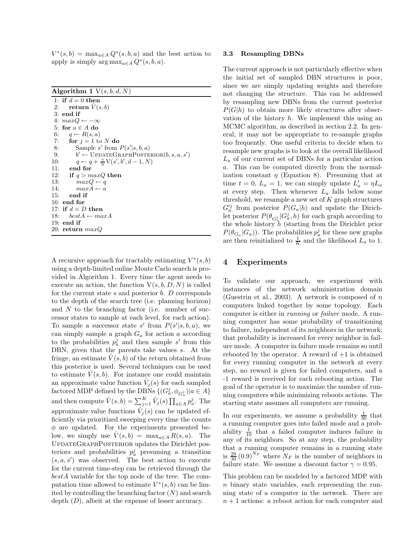$V^*(s, b) = \max_{a \in A} Q^*(s, b, a)$  and the best action to apply is simply arg max<sub>a∈A</sub>  $Q^*(s, b, a)$ .

Algorithm 1  $V(s, b, d, N)$ 

1: if  $d = 0$  then 2: return  $\hat{V}(s,b)$ 3: end if 4:  $maxQ \leftarrow -\infty$ 5: for  $a \in A$  do 6:  $q \leftarrow R(s, a)$ 7: for  $j = 1$  to N do 8: Sample s' from  $P(s'|s, b, a)$ 9:  $b' \leftarrow \text{UPDATEGRAPHPOSTERIOR}(b, s, a, s')$ 10:  $q \leftarrow q + \frac{\gamma}{N} V(s', b', d - 1, N)$ 11: end for<br>12: if  $a > m$ if  $q > maxQ$  then 13:  $maxQ \leftarrow q$ 14:  $maxA \leftarrow a$ 15: end if 16: end for 17: if  $d = D$  then 18:  $bestA \leftarrow maxA$ 19: end if 20: return maxQ

A recursive approach for tractably estimating  $V^*(s,b)$ using a depth-limited online Monte Carlo search is provided in Algorithm 1. Every time the agent needs to execute an action, the function  $V(s, b, D, N)$  is called for the current state  $s$  and posterior  $b$ .  $D$  corresponds to the depth of the search tree (i.e. planning horizon) and  $N$  to the branching factor (i.e. number of successor states to sample at each level, for each action). To sample a successor state s' from  $P(s'|s, b, a)$ , we can simply sample a graph  $G_a$  for action a according to the probabilities  $p_a^j$  and then sample s' from this DBN, given that the parents take values s. At the fringe, an estimate  $\hat{V}(s, b)$  of the return obtained from this posterior is used. Several techniques can be used to estimate  $V(s, b)$ . For instance one could maintain an approximate value function  $V_i(s)$  for each sampled factored MDP defined by the DBNs  $\{(G_a^j, \phi_{G_a^j}) | a \in A\}$ and then compute  $\hat{V}(s, b) = \sum_{j=1}^{K} \hat{V}_j(s) \prod_{a \in A} p_a^j$ . The approximate value functions  $V_i(s)$  can be updated efficiently via prioritized sweeping every time the counts  $\phi$  are updated. For the experiments presented below, we simply use  $\hat{V}(s, b) = \max_{a \in A} R(s, a)$ . The UpdateGraphPosterior updates the Dirichlet posteriors and probabilities  $p_a^j$  presuming a transition  $(s, a, s')$  was observed. The best action to execute for the current time-step can be retrieved through the bestA variable for the top node of the tree. The computation time allowed to estimate  $V^*(s, b)$  can be limited by controlling the branching factor  $(N)$  and search depth  $(D)$ , albeit at the expense of lesser accuracy.

#### 3.3 Resampling DBNs

The current approach is not particularly effective when the initial set of sampled DBN structures is poor, since we are simply updating weights and therefore not changing the structure. This can be addressed by resampling new DBNs from the current posterior  $P(G|h)$  to obtain more likely structures after observation of the history  $h$ . We implement this using an MCMC algorithm, as described in section 2.2. In general, it may not be appropriate to re-sample graphs too frequently. One useful criteria to decide when to resample new graphs is to look at the overall likelihood  $L_a$  of our current set of DBNs for a particular action a. This can be computed directly from the normalization constant  $\eta$  (Equation 8). Presuming that at time  $t = 0$ ,  $L_a = 1$ , we can simply update  $L'_a = \eta L_a$ at every step. Then whenever  $L_a$  falls below some threshold, we resample a new set of  $K$  graph structures  $G_a^{ij}$  from posterior  $P(G_a|h)$  and update the Dirichlet posterior  $P(\theta_{G_a^j}|G_a^j, h)$  for each graph according to the whole history  $\bar{h}$  (starting from the Dirichlet prior  $P(\theta_{G_a}|G_a)$ ). The probabilities  $p_a^j$  for these new graphs are then reinitialized to  $\frac{1}{K}$  and the likelihood  $L_a$  to 1.

# 4 Experiments

To validate our approach, we experiment with instances of the network administration domain (Guestrin et al., 2003). A network is composed of  $n$ computers linked together by some topology. Each computer is either in running or failure mode. A running computer has some probability of transitioning to failure, independent of its neighbors in the network; that probability is increased for every neighbor in failure mode. A computer in failure mode remains so until rebooted by the operator. A reward of  $+1$  is obtained for every running computer in the network at every step, no reward is given for failed computers, and a -1 reward is received for each rebooting action. The goal of the operator is to maximize the number of running computers while minimizing reboots actions. The starting state assumes all computers are running.

In our experiments, we assume a probability  $\frac{1}{30}$  that a running computer goes into failed mode and a probability  $\frac{1}{10}$  that a failed computer induces failure in any of its neighbors. So at any step, the probability that a running computer remains in a running state is  $\frac{29}{30} (0.9)^{N_F}$  where  $N_F$  is the number of neighbors in failure state. We assume a discount factor  $\gamma = 0.95$ .

This problem can be modeled by a factored MDP with n binary state variables, each representing the running state of a computer in the network. There are  $n + 1$  actions: a reboot action for each computer and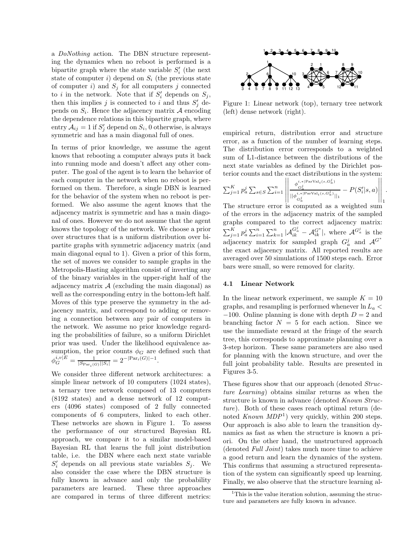a DoNothing action. The DBN structure representing the dynamics when no reboot is performed is a bipartite graph where the state variable  $S'_{i}$  (the next state of computer i) depend on  $S_i$  (the previous state of computer i) and  $S_j$  for all computers j connected to *i* in the network. Note that if  $S_i'$  depends on  $S_j$ , then this implies j is connected to i and thus  $S'_{j}$  depends on  $S_i$ . Hence the adjacency matrix  $\mathcal A$  encoding the dependence relations in this bipartite graph, where entry  $A_{ij} = 1$  if  $S'_j$  depend on  $S_i$ , 0 otherwise, is always symmetric and has a main diagonal full of ones.

In terms of prior knowledge, we assume the agent knows that rebooting a computer always puts it back into running mode and doesn't affect any other computer. The goal of the agent is to learn the behavior of each computer in the network when no reboot is performed on them. Therefore, a single DBN is learned for the behavior of the system when no reboot is performed. We also assume the agent knows that the adjacency matrix is symmetric and has a main diagonal of ones. However we do not assume that the agent knows the topology of the network. We choose a prior over structures that is a uniform distribution over bipartite graphs with symmetric adjacency matrix (and main diagonal equal to 1). Given a prior of this form, the set of moves we consider to sample graphs in the Metropolis-Hasting algorithm consist of inverting any of the binary variables in the upper-right half of the adjacency matrix  $A$  (excluding the main diagonal) as well as the corresponding entry in the bottom-left half. Moves of this type preserve the symmetry in the adjacency matrix, and correspond to adding or removing a connection between any pair of computers in the network. We assume no prior knowledge regarding the probabilities of failure, so a uniform Dirichlet prior was used. Under the likelihood equivalence assumption, the prior counts  $\phi_G$  are defined such that  $\phi_G^{i, v | E} = \frac{1}{|S_{\text{Par}_i(G)}||S_i|} = 2^{-|\text{Par}_i(G)|-1}.$ 

We consider three different network architectures: a simple linear network of 10 computers (1024 states), a ternary tree network composed of 13 computers (8192 states) and a dense network of 12 computers (4096 states) composed of 2 fully connected components of 6 computers, linked to each other. These networks are shown in Figure 1. To assess the performance of our structured Bayesian RL approach, we compare it to a similar model-based Bayesian RL that learns the full joint distribution table, i.e. the DBN where each next state variable  $S_i'$  depends on all previous state variables  $S_j$ . We also consider the case where the DBN structure is fully known in advance and only the probability parameters are learned. These three approaches are compared in terms of three different metrics:



Figure 1: Linear network (top), ternary tree network (left) dense network (right).

empirical return, distribution error and structure error, as a function of the number of learning steps. The distribution error corresponds to a weighted sum of L1-distance between the distributions of the next state variables as defined by the Dirichlet posterior counts and the exact distributions in the system:

$$
\sum_{j=1}^{K} p_a^j \sum_{s \in S} \sum_{i=1}^{n} \left\| \frac{\phi_{G_a^i}^{i,*|\text{ParVal}_i(s, G_a^j)}}{\|\phi_{G_a^j}^{i,*|\text{ParVal}_i(s, G_a^j)|_1}} - P(S_i'|s, a) \right\|_1
$$
  
The structure error is computed as a weighted sum

.

of the errors in the adjacency matrix of the sampled graphs compared to the correct adjacency matrix:  $\sum_{j=1}^K p_a^j \sum_{i=1}^n \sum_{k=1}^n |\mathcal{A}_{ik}^{G_a^j} - \mathcal{A}_{ik}^{G_a^*}|$ , where  $\mathcal{A}^{G_a^j}$  is the adjacency matrix for sampled graph  $G_a^j$  and  $\mathcal{A}^{G^*}$ the exact adjacency matrix. All reported results are averaged over 50 simulations of 1500 steps each. Error bars were small, so were removed for clarity.

### 4.1 Linear Network

In the linear network experiment, we sample  $K = 10$ graphs, and resampling is performed whenever  $\ln L_a$  <  $-100$ . Online planning is done with depth  $D = 2$  and branching factor  $N = 5$  for each action. Since we use the immediate reward at the fringe of the search tree, this corresponds to approximate planning over a 3-step horizon. These same parameters are also used for planning with the known structure, and over the full joint probability table. Results are presented in Figures 3-5.

These figures show that our approach (denoted *Struc*ture Learning) obtains similar returns as when the structure is known in advance (denoted Known Structure). Both of these cases reach optimal return (denoted Known MDP<sup>1</sup>) very quickly, within 200 steps. Our approach is also able to learn the transition dynamics as fast as when the structure is known a priori. On the other hand, the unstructured approach (denoted Full Joint) takes much more time to achieve a good return and learn the dynamics of the system. This confirms that assuming a structured representation of the system can significantly speed up learning. Finally, we also observe that the structure learning al-

<sup>&</sup>lt;sup>1</sup>This is the value iteration solution, assuming the structure and parameters are fully known in advance.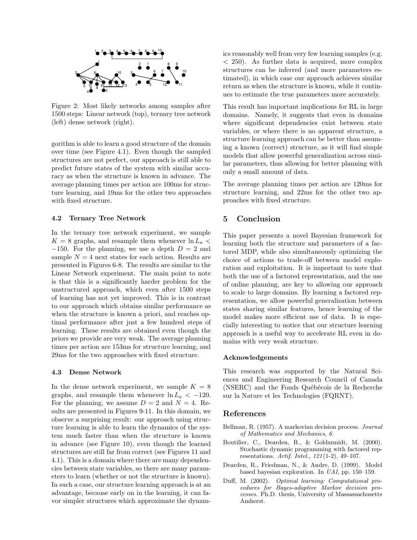

Figure 2: Most likely networks among samples after 1500 steps: Linear network (top), ternary tree network (left) dense network (right).

gorithm is able to learn a good structure of the domain over time (see Figure 4.1). Even though the sampled structures are not perfect, our approach is still able to predict future states of the system with similar accuracy as when the structure is known in advance. The average planning times per action are 100ms for structure learning, and 19ms for the other two approaches with fixed structure.

### 4.2 Ternary Tree Network

In the ternary tree network experiment, we sample  $K = 8$  graphs, and resample them whenever  $\ln L_a$  $-150$ . For the planning, we use a depth  $D = 2$  and sample  $N = 4$  next states for each action. Results are presented in Figures 6-8. The results are similar to the Linear Network experiment. The main point to note is that this is a significantly harder problem for the unstructured approach, which even after 1500 steps of learning has not yet improved. This is in contrast to our approach which obtains similar performance as when the structure is known a priori, and reaches optimal performance after just a few hundred steps of learning. These results are obtained even though the priors we provide are very weak. The average planning times per action are 153ms for structure learning, and 29ms for the two approaches with fixed structure.

#### 4.3 Dense Network

In the dense network experiment, we sample  $K\,=\,8$ graphs, and resample them whenever  $\ln L_a < -120$ . For the planning, we assume  $D = 2$  and  $N = 4$ . Results are presented in Figures 9-11. In this domain, we observe a surprising result: our approach using structure learning is able to learn the dynamics of the system much faster than when the structure is known in advance (see Figure 10), even though the learned structures are still far from correct (see Figures 11 and 4.1). This is a domain where there are many dependencies between state variables, so there are many parameters to learn (whether or not the structure is known). In such a case, our structure learning approach is at an advantage, because early on in the learning, it can favor simpler structures which approximate the dynamics reasonably well from very few learning samples (e.g.  $<$  250). As further data is acquired, more complex structures can be inferred (and more parameters estimated), in which case our approach achieves similar return as when the structure is known, while it continues to estimate the true parameters more accurately.

This result has important implications for RL in large domains. Namely, it suggests that even in domains where significant dependencies exist between state variables, or where there is no apparent structure, a structure learning approach can be better than assuming a known (correct) structure, as it will find simple models that allow powerful generalization across similar parameters, thus allowing for better planning with only a small amount of data.

The average planning times per action are 120ms for structure learning, and 22ms for the other two approaches with fixed structure.

# 5 Conclusion

This paper presents a novel Bayesian framework for learning both the structure and parameters of a factored MDP, while also simultaneously optimizing the choice of actions to trade-off between model exploration and exploitation. It is important to note that both the use of a factored representation, and the use of online planning, are key to allowing our approach to scale to large domains. By learning a factored representation, we allow powerful generalization between states sharing similar features, hence learning of the model makes more efficient use of data. It is especially interesting to notice that our structure learning approach is a useful way to accelerate RL even in domains with very weak structure.

#### Acknowledgements

This research was supported by the Natural Sciences and Engineering Research Council of Canada (NSERC) and the Fonds Québécois de la Recherche sur la Nature et les Technologies (FQRNT).

#### References

- Bellman, R. (1957). A markovian decision process. Journal of Mathematics and Mechanics, 6.
- Boutilier, C., Dearden, R., & Goldszmidt, M. (2000). Stochastic dynamic programming with factored representations. Artif. Intel., 121(1-2), 49–107.
- Dearden, R., Friedman, N., & Andre, D. (1999). Model based bayesian exploration. In UAI, pp. 150–159.
- Duff, M. (2002). Optimal learning: Computational procedures for Bayes-adaptive Markov decision processes. Ph.D. thesis, University of Massassachusetts Amherst.